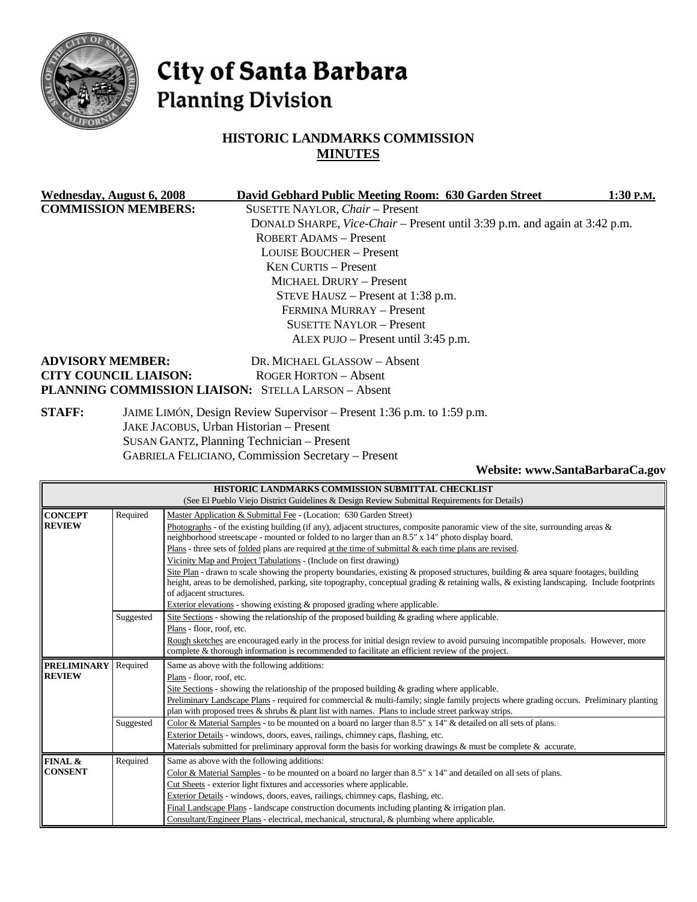

# City of Santa Barbara **Planning Division**

# **HISTORIC LANDMARKS COMMISSION MINUTES**

| Wednesday, August 6, 2008                                  | David Gebhard Public Meeting Room: 630 Garden Street                       | 1:30 P.M. |
|------------------------------------------------------------|----------------------------------------------------------------------------|-----------|
| <b>COMMISSION MEMBERS:</b>                                 | <b>SUSETTE NAYLOR, Chair - Present</b>                                     |           |
|                                                            | DONALD SHARPE, Vice-Chair – Present until 3:39 p.m. and again at 3:42 p.m. |           |
|                                                            | <b>ROBERT ADAMS - Present</b>                                              |           |
|                                                            | <b>LOUISE BOUCHER – Present</b>                                            |           |
|                                                            | $KEN ClIRTIS - Present$                                                    |           |
|                                                            | MICHAEL DRURY - Present                                                    |           |
|                                                            | STEVE HAUSZ – Present at 1:38 p.m.                                         |           |
|                                                            | FERMINA MURRAY - Present                                                   |           |
|                                                            | <b>SUSETTE NAYLOR - Present</b>                                            |           |
|                                                            | ALEX PUJO – Present until 3:45 p.m.                                        |           |
| <b>ADVISORY MEMBER:</b>                                    | DR. MICHAEL GLASSOW - Absent                                               |           |
| <b>CITY COUNCIL LIAISON:</b>                               | ROGER HORTON - Absent                                                      |           |
| <b>PLANNING COMMISSION LIAISON: STELLA LARSON - Absent</b> |                                                                            |           |
| <b>STAFF:</b>                                              | JAIME LIMÓN, Design Review Supervisor – Present 1:36 p.m. to 1:59 p.m.     |           |

JAKE JACOBUS, Urban Historian – Present

SUSAN GANTZ, Planning Technician – Present

GABRIELA FELICIANO, Commission Secretary – Present

#### **Website: www.SantaBarbaraCa.gov**

| HISTORIC LANDMARKS COMMISSION SUBMITTAL CHECKLIST |                                                                                              |                                                                                                                                                                                                                                                                                                                                                                                                                                                                                                                                                                                                                                                                                                                                                                                                                                                                                                   |  |  |  |  |  |
|---------------------------------------------------|----------------------------------------------------------------------------------------------|---------------------------------------------------------------------------------------------------------------------------------------------------------------------------------------------------------------------------------------------------------------------------------------------------------------------------------------------------------------------------------------------------------------------------------------------------------------------------------------------------------------------------------------------------------------------------------------------------------------------------------------------------------------------------------------------------------------------------------------------------------------------------------------------------------------------------------------------------------------------------------------------------|--|--|--|--|--|
|                                                   | (See El Pueblo Viejo District Guidelines & Design Review Submittal Requirements for Details) |                                                                                                                                                                                                                                                                                                                                                                                                                                                                                                                                                                                                                                                                                                                                                                                                                                                                                                   |  |  |  |  |  |
| <b>CONCEPT</b><br><b>REVIEW</b>                   | Required                                                                                     | Master Application & Submittal Fee - (Location: 630 Garden Street)<br>Photographs - of the existing building (if any), adjacent structures, composite panoramic view of the site, surrounding areas $\&$<br>neighborhood streetscape - mounted or folded to no larger than an 8.5" x 14" photo display board.<br>Plans - three sets of folded plans are required at the time of submittal $\&$ each time plans are revised.<br>Vicinity Map and Project Tabulations - (Include on first drawing)<br>Site Plan - drawn to scale showing the property boundaries, existing & proposed structures, building & area square footages, building<br>height, areas to be demolished, parking, site topography, conceptual grading & retaining walls, & existing landscaping. Include footprints<br>of adjacent structures.<br>Exterior elevations - showing existing & proposed grading where applicable. |  |  |  |  |  |
|                                                   | Suggested                                                                                    | Site Sections - showing the relationship of the proposed building & grading where applicable.<br>Plans - floor, roof, etc.<br>Rough sketches are encouraged early in the process for initial design review to avoid pursuing incompatible proposals. However, more<br>complete & thorough information is recommended to facilitate an efficient review of the project.                                                                                                                                                                                                                                                                                                                                                                                                                                                                                                                            |  |  |  |  |  |
| <b>PRELIMINARY</b><br><b>REVIEW</b>               | Required                                                                                     | Same as above with the following additions:<br>Plans - floor, roof, etc.<br>Site Sections - showing the relationship of the proposed building $\&$ grading where applicable.<br>Preliminary Landscape Plans - required for commercial & multi-family; single family projects where grading occurs. Preliminary planting<br>plan with proposed trees $\&$ shrubs $\&$ plant list with names. Plans to include street parkway strips.                                                                                                                                                                                                                                                                                                                                                                                                                                                               |  |  |  |  |  |
|                                                   | Suggested                                                                                    | Color & Material Samples - to be mounted on a board no larger than 8.5" x 14" & detailed on all sets of plans.<br>Exterior Details - windows, doors, eaves, railings, chimney caps, flashing, etc.<br>Materials submitted for preliminary approval form the basis for working drawings & must be complete & accurate.                                                                                                                                                                                                                                                                                                                                                                                                                                                                                                                                                                             |  |  |  |  |  |
| FINAL &<br><b>CONSENT</b>                         | Required                                                                                     | Same as above with the following additions:<br>Color & Material Samples - to be mounted on a board no larger than $8.5" \times 14"$ and detailed on all sets of plans.<br>Cut Sheets - exterior light fixtures and accessories where applicable.<br>Exterior Details - windows, doors, eaves, railings, chimney caps, flashing, etc.<br>Final Landscape Plans - landscape construction documents including planting $\&$ irrigation plan.<br>Consultant/Engineer Plans - electrical, mechanical, structural, & plumbing where applicable.                                                                                                                                                                                                                                                                                                                                                         |  |  |  |  |  |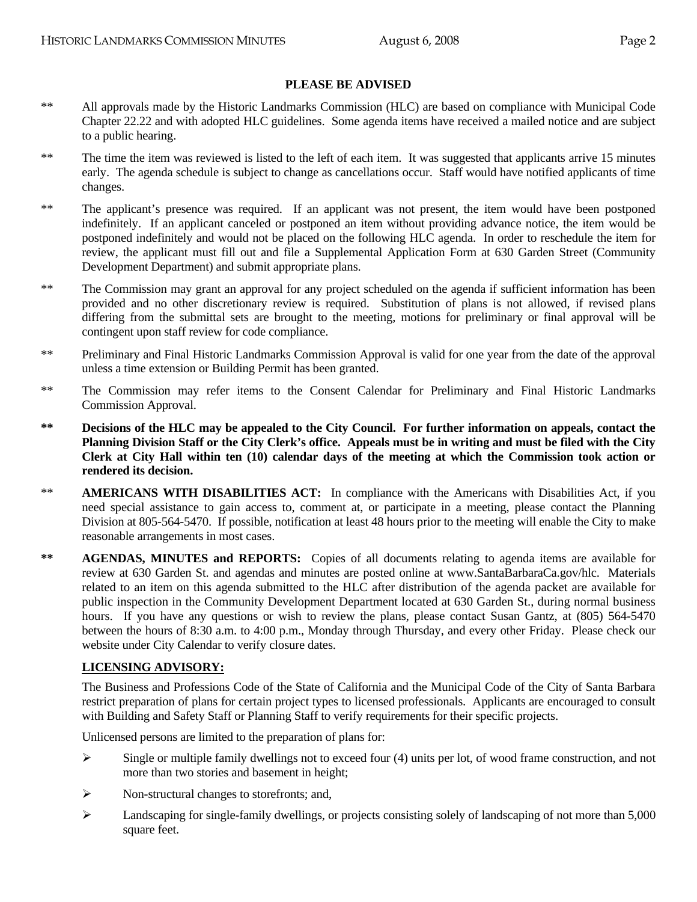## **PLEASE BE ADVISED**

- \*\* All approvals made by the Historic Landmarks Commission (HLC) are based on compliance with Municipal Code Chapter 22.22 and with adopted HLC guidelines. Some agenda items have received a mailed notice and are subject to a public hearing.
- \*\* The time the item was reviewed is listed to the left of each item. It was suggested that applicants arrive 15 minutes early. The agenda schedule is subject to change as cancellations occur. Staff would have notified applicants of time changes.
- \*\* The applicant's presence was required. If an applicant was not present, the item would have been postponed indefinitely. If an applicant canceled or postponed an item without providing advance notice, the item would be postponed indefinitely and would not be placed on the following HLC agenda. In order to reschedule the item for review, the applicant must fill out and file a Supplemental Application Form at 630 Garden Street (Community Development Department) and submit appropriate plans.
- \*\* The Commission may grant an approval for any project scheduled on the agenda if sufficient information has been provided and no other discretionary review is required. Substitution of plans is not allowed, if revised plans differing from the submittal sets are brought to the meeting, motions for preliminary or final approval will be contingent upon staff review for code compliance.
- \*\* Preliminary and Final Historic Landmarks Commission Approval is valid for one year from the date of the approval unless a time extension or Building Permit has been granted.
- \*\* The Commission may refer items to the Consent Calendar for Preliminary and Final Historic Landmarks Commission Approval.
- **\*\* Decisions of the HLC may be appealed to the City Council. For further information on appeals, contact the Planning Division Staff or the City Clerk's office. Appeals must be in writing and must be filed with the City Clerk at City Hall within ten (10) calendar days of the meeting at which the Commission took action or rendered its decision.**
- \*\* **AMERICANS WITH DISABILITIES ACT:** In compliance with the Americans with Disabilities Act, if you need special assistance to gain access to, comment at, or participate in a meeting, please contact the Planning Division at 805-564-5470. If possible, notification at least 48 hours prior to the meeting will enable the City to make reasonable arrangements in most cases.
- \*\* **AGENDAS, MINUTES and REPORTS:** Copies of all documents relating to agenda items are available for review at 630 Garden St. and agendas and minutes are posted online at www.SantaBarbaraCa.gov/hlc. Materials related to an item on this agenda submitted to the HLC after distribution of the agenda packet are available for public inspection in the Community Development Department located at 630 Garden St., during normal business hours. If you have any questions or wish to review the plans, please contact Susan Gantz, at  $(805)$  564-5470 between the hours of 8:30 a.m. to 4:00 p.m., Monday through Thursday, and every other Friday. Please check our website under City Calendar to verify closure dates.

# **LICENSING ADVISORY:**

The Business and Professions Code of the State of California and the Municipal Code of the City of Santa Barbara restrict preparation of plans for certain project types to licensed professionals. Applicants are encouraged to consult with Building and Safety Staff or Planning Staff to verify requirements for their specific projects.

Unlicensed persons are limited to the preparation of plans for:

- $\triangleright$  Single or multiple family dwellings not to exceed four (4) units per lot, of wood frame construction, and not more than two stories and basement in height;
- $\triangleright$  Non-structural changes to storefronts; and,
- $\blacktriangleright$  Landscaping for single-family dwellings, or projects consisting solely of landscaping of not more than 5,000 square feet.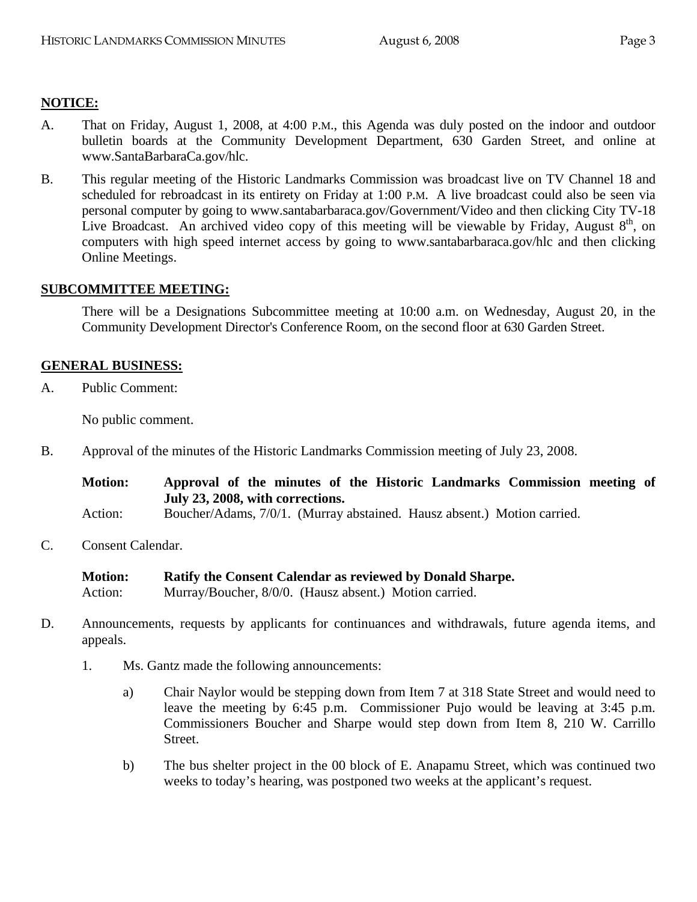# **NOTICE:**

- A. That on Friday, August 1, 2008, at 4:00 P.M., this Agenda was duly posted on the indoor and outdoor bulletin boards at the Community Development Department, 630 Garden Street, and online at www.SantaBarbaraCa.gov/hlc.
- B. This regular meeting of the Historic Landmarks Commission was broadcast live on TV Channel 18 and scheduled for rebroadcast in its entirety on Friday at 1:00 P.M. A live broadcast could also be seen via personal computer by going to www.santabarbaraca.gov/Government/Video and then clicking City TV-18 Live Broadcast. An archived video copy of this meeting will be viewable by Friday, August  $8<sup>th</sup>$ , on computers with high speed internet access by going to www.santabarbaraca.gov/hlc and then clicking Online Meetings.

## **SUBCOMMITTEE MEETING:**

There will be a Designations Subcommittee meeting at 10:00 a.m. on Wednesday, August 20, in the Community Development Director's Conference Room, on the second floor at 630 Garden Street.

## **GENERAL BUSINESS:**

A. Public Comment:

No public comment.

B. Approval of the minutes of the Historic Landmarks Commission meeting of July 23, 2008.

**Motion: Approval of the minutes of the Historic Landmarks Commission meeting of July 23, 2008, with corrections.** 

Action: Boucher/Adams, 7/0/1. (Murray abstained. Hausz absent.) Motion carried.

- C. Consent Calendar.
	- **Motion: Ratify the Consent Calendar as reviewed by Donald Sharpe.**  Action: Murray/Boucher, 8/0/0. (Hausz absent.) Motion carried.
- D. Announcements, requests by applicants for continuances and withdrawals, future agenda items, and appeals.
	- 1. Ms. Gantz made the following announcements:
		- a) Chair Naylor would be stepping down from Item 7 at 318 State Street and would need to leave the meeting by 6:45 p.m. Commissioner Pujo would be leaving at 3:45 p.m. Commissioners Boucher and Sharpe would step down from Item 8, 210 W. Carrillo Street.
		- b) The bus shelter project in the 00 block of E. Anapamu Street, which was continued two weeks to today's hearing, was postponed two weeks at the applicant's request.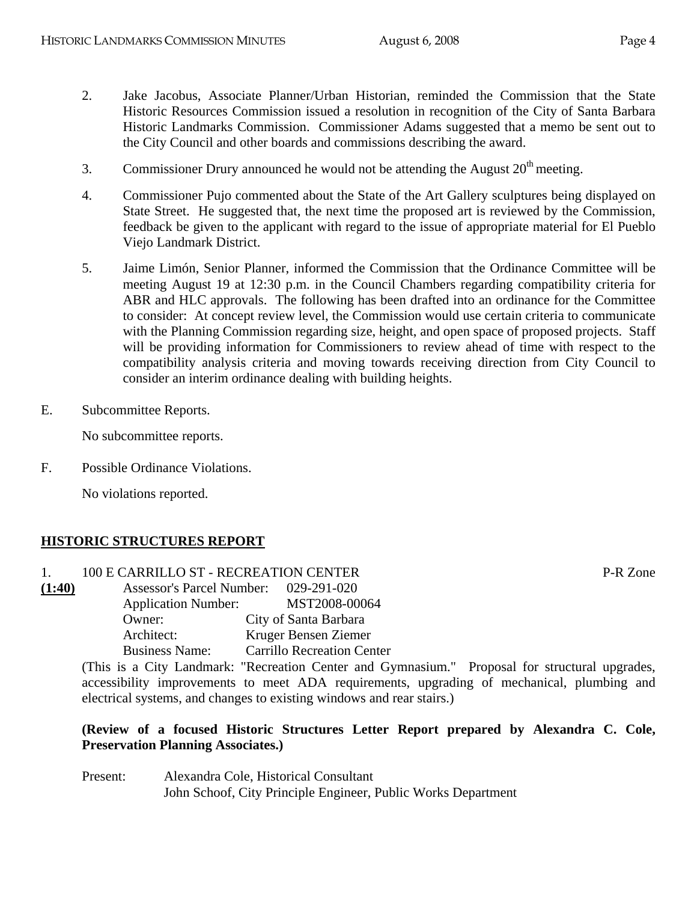- 2. Jake Jacobus, Associate Planner/Urban Historian, reminded the Commission that the State Historic Resources Commission issued a resolution in recognition of the City of Santa Barbara Historic Landmarks Commission. Commissioner Adams suggested that a memo be sent out to the City Council and other boards and commissions describing the award.
- 3. Commissioner Drury announced he would not be attending the August  $20<sup>th</sup>$  meeting.
- 4. Commissioner Pujo commented about the State of the Art Gallery sculptures being displayed on State Street. He suggested that, the next time the proposed art is reviewed by the Commission, feedback be given to the applicant with regard to the issue of appropriate material for El Pueblo Viejo Landmark District.
- 5. Jaime Limón, Senior Planner, informed the Commission that the Ordinance Committee will be meeting August 19 at 12:30 p.m. in the Council Chambers regarding compatibility criteria for ABR and HLC approvals. The following has been drafted into an ordinance for the Committee to consider: At concept review level, the Commission would use certain criteria to communicate with the Planning Commission regarding size, height, and open space of proposed projects. Staff will be providing information for Commissioners to review ahead of time with respect to the compatibility analysis criteria and moving towards receiving direction from City Council to consider an interim ordinance dealing with building heights.
- E. Subcommittee Reports.

No subcommittee reports.

F. Possible Ordinance Violations.

No violations reported.

# **HISTORIC STRUCTURES REPORT**

# 1. 100 E CARRILLO ST - RECREATION CENTER P-R Zone

**(1:40)** Assessor's Parcel Number: 029-291-020 Application Number: MST2008-00064 Owner: City of Santa Barbara Architect: Kruger Bensen Ziemer Business Name: Carrillo Recreation Center

(This is a City Landmark: "Recreation Center and Gymnasium." Proposal for structural upgrades, accessibility improvements to meet ADA requirements, upgrading of mechanical, plumbing and electrical systems, and changes to existing windows and rear stairs.)

# **(Review of a focused Historic Structures Letter Report prepared by Alexandra C. Cole, Preservation Planning Associates.)**

Present: Alexandra Cole, Historical Consultant John Schoof, City Principle Engineer, Public Works Department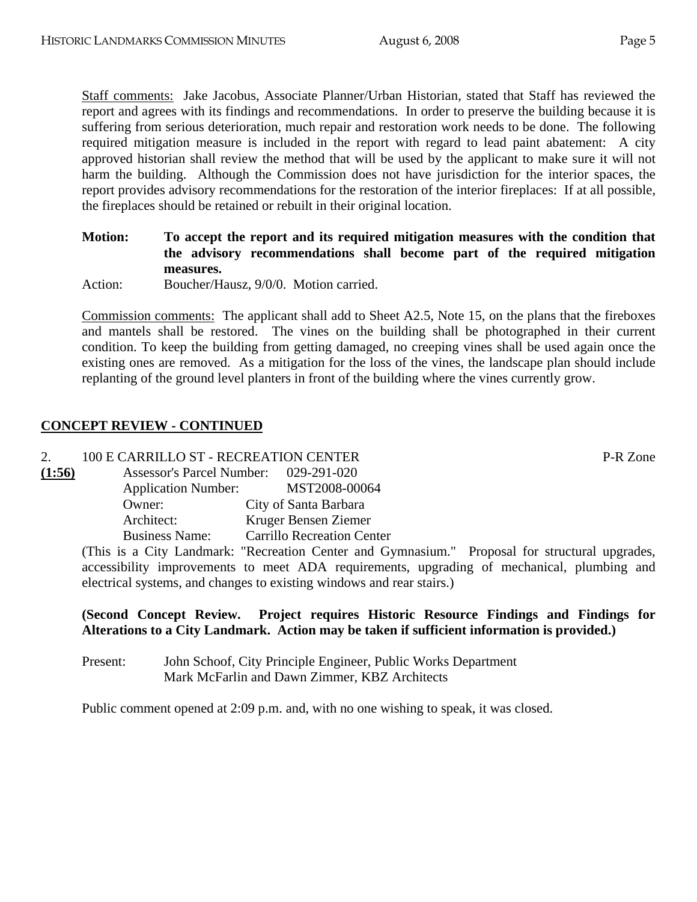Staff comments: Jake Jacobus, Associate Planner/Urban Historian, stated that Staff has reviewed the report and agrees with its findings and recommendations. In order to preserve the building because it is suffering from serious deterioration, much repair and restoration work needs to be done. The following required mitigation measure is included in the report with regard to lead paint abatement: A city approved historian shall review the method that will be used by the applicant to make sure it will not harm the building. Although the Commission does not have jurisdiction for the interior spaces, the report provides advisory recommendations for the restoration of the interior fireplaces: If at all possible, the fireplaces should be retained or rebuilt in their original location.

**Motion: To accept the report and its required mitigation measures with the condition that the advisory recommendations shall become part of the required mitigation measures.** 

Action: Boucher/Hausz, 9/0/0. Motion carried.

Commission comments: The applicant shall add to Sheet A2.5, Note 15, on the plans that the fireboxes and mantels shall be restored. The vines on the building shall be photographed in their current condition. To keep the building from getting damaged, no creeping vines shall be used again once the existing ones are removed. As a mitigation for the loss of the vines, the landscape plan should include replanting of the ground level planters in front of the building where the vines currently grow.

# **CONCEPT REVIEW - CONTINUED**

## 2. 100 E CARRILLO ST - RECREATION CENTER P-R Zone

| (1:56) | <b>Assessor's Parcel Number:</b> | 029-291-020                       |
|--------|----------------------------------|-----------------------------------|
|        | <b>Application Number:</b>       | MST2008-00064                     |
|        | Owner:                           | City of Santa Barbara             |
|        | Architect:                       | Kruger Bensen Ziemer              |
|        | <b>Business Name:</b>            | <b>Carrillo Recreation Center</b> |

(This is a City Landmark: "Recreation Center and Gymnasium." Proposal for structural upgrades, accessibility improvements to meet ADA requirements, upgrading of mechanical, plumbing and electrical systems, and changes to existing windows and rear stairs.)

# **(Second Concept Review. Project requires Historic Resource Findings and Findings for Alterations to a City Landmark. Action may be taken if sufficient information is provided.)**

Present: John Schoof, City Principle Engineer, Public Works Department Mark McFarlin and Dawn Zimmer, KBZ Architects

Public comment opened at 2:09 p.m. and, with no one wishing to speak, it was closed.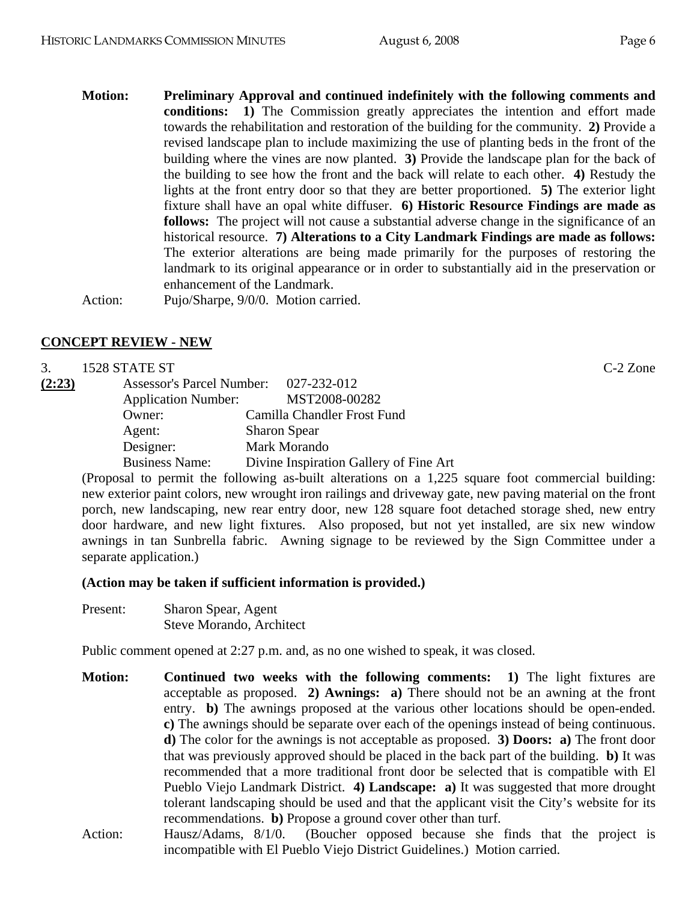**Motion: Preliminary Approval and continued indefinitely with the following comments and conditions: 1)** The Commission greatly appreciates the intention and effort made towards the rehabilitation and restoration of the building for the community. **2)** Provide a revised landscape plan to include maximizing the use of planting beds in the front of the building where the vines are now planted. **3)** Provide the landscape plan for the back of the building to see how the front and the back will relate to each other. **4)** Restudy the lights at the front entry door so that they are better proportioned. **5)** The exterior light fixture shall have an opal white diffuser. **6) Historic Resource Findings are made as follows:** The project will not cause a substantial adverse change in the significance of an historical resource. **7) Alterations to a City Landmark Findings are made as follows:** The exterior alterations are being made primarily for the purposes of restoring the landmark to its original appearance or in order to substantially aid in the preservation or enhancement of the Landmark. Action: Pujo/Sharpe, 9/0/0. Motion carried.

# **CONCEPT REVIEW - NEW**

|        | 1528 STATE ST              |                                        | $C-2$ Zone |
|--------|----------------------------|----------------------------------------|------------|
| (2:23) |                            | Assessor's Parcel Number: 027-232-012  |            |
|        | <b>Application Number:</b> | MST2008-00282                          |            |
|        | Owner:                     | Camilla Chandler Frost Fund            |            |
|        | Agent:                     | <b>Sharon Spear</b>                    |            |
|        | Designer:                  | Mark Morando                           |            |
|        | <b>Business Name:</b>      | Divine Inspiration Gallery of Fine Art |            |

(Proposal to permit the following as-built alterations on a 1,225 square foot commercial building: new exterior paint colors, new wrought iron railings and driveway gate, new paving material on the front porch, new landscaping, new rear entry door, new 128 square foot detached storage shed, new entry door hardware, and new light fixtures. Also proposed, but not yet installed, are six new window awnings in tan Sunbrella fabric. Awning signage to be reviewed by the Sign Committee under a separate application.)

#### **(Action may be taken if sufficient information is provided.)**

Present: Sharon Spear, Agent Steve Morando, Architect

Public comment opened at 2:27 p.m. and, as no one wished to speak, it was closed.

- **Motion: Continued two weeks with the following comments: 1)** The light fixtures are acceptable as proposed. **2) Awnings: a)** There should not be an awning at the front entry. **b)** The awnings proposed at the various other locations should be open-ended. **c)** The awnings should be separate over each of the openings instead of being continuous. **d)** The color for the awnings is not acceptable as proposed. **3) Doors: a)** The front door that was previously approved should be placed in the back part of the building. **b)** It was recommended that a more traditional front door be selected that is compatible with El Pueblo Viejo Landmark District. **4) Landscape: a)** It was suggested that more drought tolerant landscaping should be used and that the applicant visit the City's website for its recommendations. **b)** Propose a ground cover other than turf.
- Action: Hausz/Adams, 8/1/0. (Boucher opposed because she finds that the project is incompatible with El Pueblo Viejo District Guidelines.) Motion carried.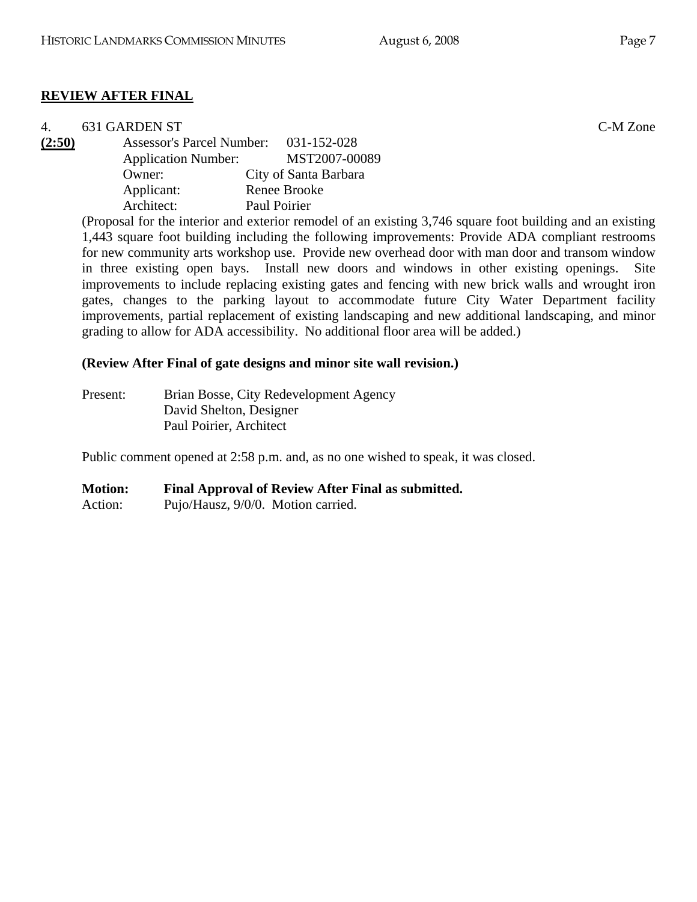# **REVIEW AFTER FINAL**

|        | 631 GARDEN ST                    |                       | C-M Zone |
|--------|----------------------------------|-----------------------|----------|
| (2:50) | <b>Assessor's Parcel Number:</b> | 031-152-028           |          |
|        | <b>Application Number:</b>       | MST2007-00089         |          |
|        | Owner:                           | City of Santa Barbara |          |
|        | Applicant:                       | Renee Brooke          |          |
|        | Architect:                       | Paul Poirier          |          |
|        |                                  |                       |          |

(Proposal for the interior and exterior remodel of an existing 3,746 square foot building and an existing 1,443 square foot building including the following improvements: Provide ADA compliant restrooms for new community arts workshop use. Provide new overhead door with man door and transom window in three existing open bays. Install new doors and windows in other existing openings. Site improvements to include replacing existing gates and fencing with new brick walls and wrought iron gates, changes to the parking layout to accommodate future City Water Department facility improvements, partial replacement of existing landscaping and new additional landscaping, and minor grading to allow for ADA accessibility. No additional floor area will be added.)

## **(Review After Final of gate designs and minor site wall revision.)**

| Present: | Brian Bosse, City Redevelopment Agency |
|----------|----------------------------------------|
|          | David Shelton, Designer                |
|          | Paul Poirier, Architect                |

Public comment opened at 2:58 p.m. and, as no one wished to speak, it was closed.

#### **Motion: Final Approval of Review After Final as submitted.**

Action: Pujo/Hausz, 9/0/0. Motion carried.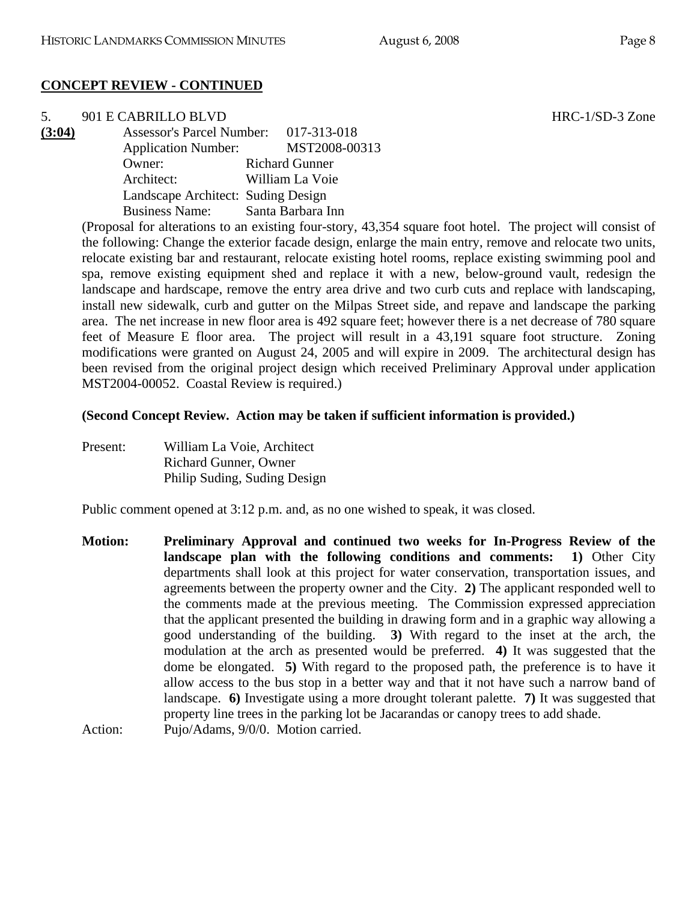# **CONCEPT REVIEW - CONTINUED**

5. 901 E CABRILLO BLVD HRC-1/SD-3 Zone **(3:04)** Assessor's Parcel Number: 017-313-018 Application Number: MST2008-00313 Owner: Richard Gunner Architect: William La Voie Landscape Architect: Suding Design Business Name: Santa Barbara Inn

(Proposal for alterations to an existing four-story, 43,354 square foot hotel. The project will consist of the following: Change the exterior facade design, enlarge the main entry, remove and relocate two units, relocate existing bar and restaurant, relocate existing hotel rooms, replace existing swimming pool and spa, remove existing equipment shed and replace it with a new, below-ground vault, redesign the landscape and hardscape, remove the entry area drive and two curb cuts and replace with landscaping, install new sidewalk, curb and gutter on the Milpas Street side, and repave and landscape the parking area. The net increase in new floor area is 492 square feet; however there is a net decrease of 780 square feet of Measure E floor area. The project will result in a 43,191 square foot structure. Zoning modifications were granted on August 24, 2005 and will expire in 2009. The architectural design has been revised from the original project design which received Preliminary Approval under application MST2004-00052. Coastal Review is required.)

# **(Second Concept Review. Action may be taken if sufficient information is provided.)**

Present: William La Voie, Architect Richard Gunner, Owner Philip Suding, Suding Design

Public comment opened at 3:12 p.m. and, as no one wished to speak, it was closed.

**Motion: Preliminary Approval and continued two weeks for In-Progress Review of the landscape plan with the following conditions and comments: 1)** Other City departments shall look at this project for water conservation, transportation issues, and agreements between the property owner and the City. **2)** The applicant responded well to the comments made at the previous meeting. The Commission expressed appreciation that the applicant presented the building in drawing form and in a graphic way allowing a good understanding of the building. **3)** With regard to the inset at the arch, the modulation at the arch as presented would be preferred. **4)** It was suggested that the dome be elongated. **5)** With regard to the proposed path, the preference is to have it allow access to the bus stop in a better way and that it not have such a narrow band of landscape. **6)** Investigate using a more drought tolerant palette. **7)** It was suggested that property line trees in the parking lot be Jacarandas or canopy trees to add shade. Action: Pujo/Adams, 9/0/0. Motion carried.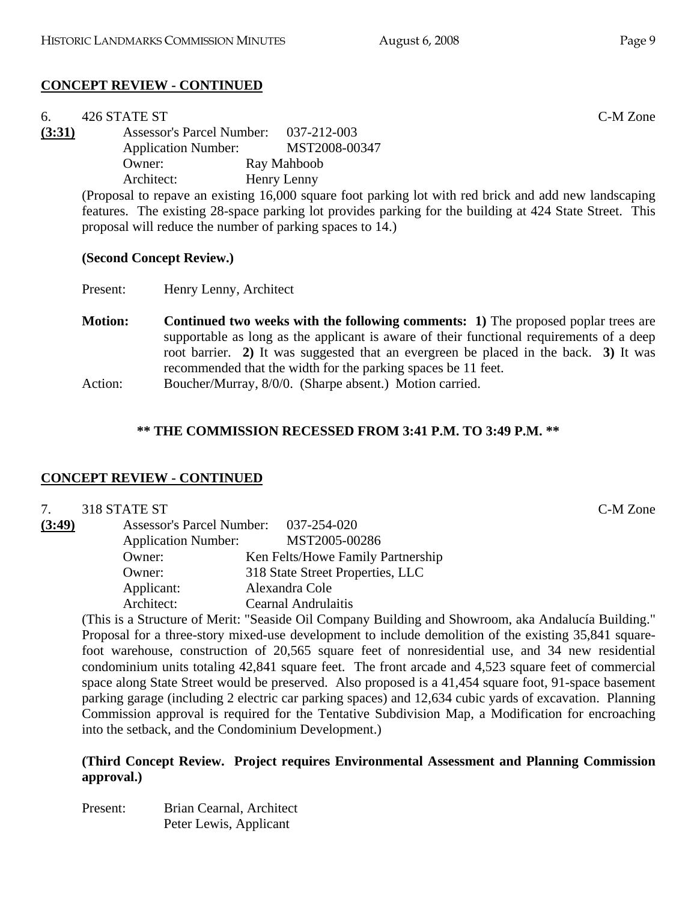# **CONCEPT REVIEW - CONTINUED**

| 6.     | 426 STATE ST                                              |                                                                                                         | C-M Zone |
|--------|-----------------------------------------------------------|---------------------------------------------------------------------------------------------------------|----------|
| (3:31) | Assessor's Parcel Number: 037-212-003                     |                                                                                                         |          |
|        | <b>Application Number:</b>                                | MST2008-00347                                                                                           |          |
|        | Owner:                                                    | Ray Mahboob                                                                                             |          |
|        | Architect:                                                | Henry Lenny                                                                                             |          |
|        |                                                           | (Proposal to repave an existing 16,000 square foot parking lot with red brick and add new landscaping   |          |
|        |                                                           | features. The existing 28-space parking lot provides parking for the building at 424 State Street. This |          |
|        | proposal will reduce the number of parking spaces to 14.) |                                                                                                         |          |

#### **(Second Concept Review.)**

Present: Henry Lenny, Architect

**Motion:** Continued two weeks with the following comments: 1) The proposed poplar trees are supportable as long as the applicant is aware of their functional requirements of a deep root barrier. **2)** It was suggested that an evergreen be placed in the back. **3)** It was recommended that the width for the parking spaces be 11 feet.

Action: Boucher/Murray,  $8/0/0$ . (Sharpe absent.) Motion carried.

#### **\*\* THE COMMISSION RECESSED FROM 3:41 P.M. TO 3:49 P.M. \*\***

#### **CONCEPT REVIEW - CONTINUED**

|        | 318 STATE ST               |                                       | C-M Zone |
|--------|----------------------------|---------------------------------------|----------|
| (3:49) |                            | Assessor's Parcel Number: 037-254-020 |          |
|        | <b>Application Number:</b> | MST2005-00286                         |          |
|        | Owner:                     | Ken Felts/Howe Family Partnership     |          |
|        | Owner:                     | 318 State Street Properties, LLC      |          |
|        | Applicant:                 | Alexandra Cole                        |          |
|        | Architect:                 | Cearnal Andrulaitis                   |          |

(This is a Structure of Merit: "Seaside Oil Company Building and Showroom, aka Andalucía Building." Proposal for a three-story mixed-use development to include demolition of the existing 35,841 squarefoot warehouse, construction of 20,565 square feet of nonresidential use, and 34 new residential condominium units totaling 42,841 square feet. The front arcade and 4,523 square feet of commercial space along State Street would be preserved. Also proposed is a 41,454 square foot, 91-space basement parking garage (including 2 electric car parking spaces) and 12,634 cubic yards of excavation. Planning Commission approval is required for the Tentative Subdivision Map, a Modification for encroaching into the setback, and the Condominium Development.)

## **(Third Concept Review. Project requires Environmental Assessment and Planning Commission approval.)**

Present: Brian Cearnal, Architect Peter Lewis, Applicant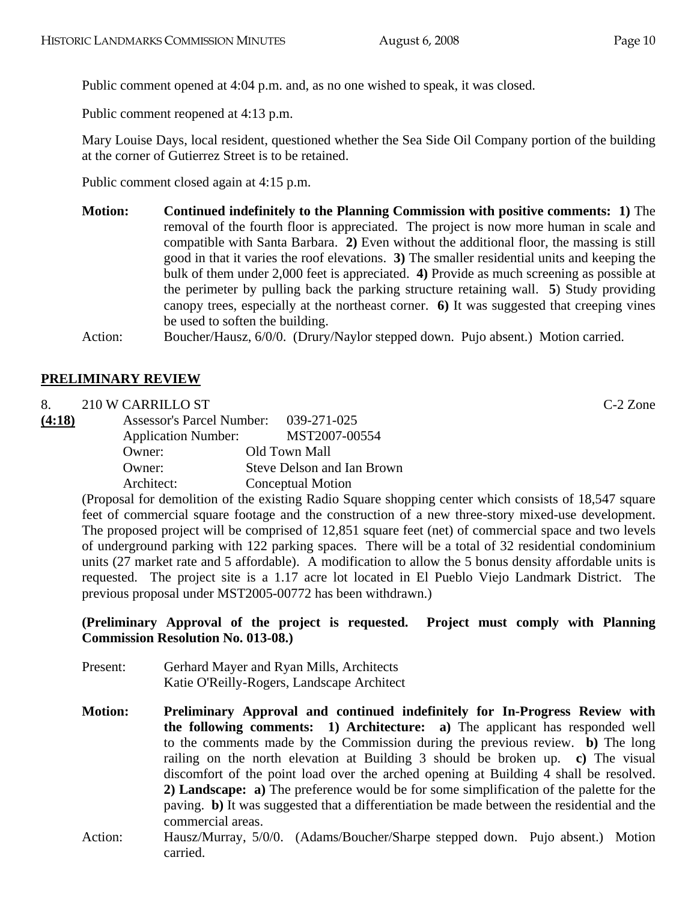Public comment opened at 4:04 p.m. and, as no one wished to speak, it was closed.

Public comment reopened at 4:13 p.m.

Mary Louise Days, local resident, questioned whether the Sea Side Oil Company portion of the building at the corner of Gutierrez Street is to be retained.

Public comment closed again at 4:15 p.m.

**Motion: Continued indefinitely to the Planning Commission with positive comments: 1)** The removal of the fourth floor is appreciated. The project is now more human in scale and compatible with Santa Barbara. **2)** Even without the additional floor, the massing is still good in that it varies the roof elevations. **3)** The smaller residential units and keeping the bulk of them under 2,000 feet is appreciated. **4)** Provide as much screening as possible at the perimeter by pulling back the parking structure retaining wall. **5**) Study providing canopy trees, especially at the northeast corner. **6)** It was suggested that creeping vines be used to soften the building.

Action: Boucher/Hausz, 6/0/0. (Drury/Naylor stepped down. Pujo absent.) Motion carried.

# **PRELIMINARY REVIEW**

8. 210 W CARRILLO ST C-2 Zone

**(4:18)** Assessor's Parcel Number: 039-271-025 Application Number: MST2007-00554 Owner: Old Town Mall Owner: Steve Delson and Ian Brown Architect: Conceptual Motion

> (Proposal for demolition of the existing Radio Square shopping center which consists of 18,547 square feet of commercial square footage and the construction of a new three-story mixed-use development. The proposed project will be comprised of 12,851 square feet (net) of commercial space and two levels of underground parking with 122 parking spaces. There will be a total of 32 residential condominium units (27 market rate and 5 affordable). A modification to allow the 5 bonus density affordable units is requested. The project site is a 1.17 acre lot located in El Pueblo Viejo Landmark District. The previous proposal under MST2005-00772 has been withdrawn.)

## **(Preliminary Approval of the project is requested. Project must comply with Planning Commission Resolution No. 013-08.)**

- Present: Gerhard Mayer and Ryan Mills, Architects Katie O'Reilly-Rogers, Landscape Architect
- **Motion: Preliminary Approval and continued indefinitely for In-Progress Review with the following comments: 1) Architecture: a)** The applicant has responded well to the comments made by the Commission during the previous review. **b)** The long railing on the north elevation at Building 3 should be broken up. **c)** The visual discomfort of the point load over the arched opening at Building 4 shall be resolved. **2) Landscape: a)** The preference would be for some simplification of the palette for the paving. **b)** It was suggested that a differentiation be made between the residential and the commercial areas.
- Action: Hausz/Murray, 5/0/0. (Adams/Boucher/Sharpe stepped down. Pujo absent.) Motion carried.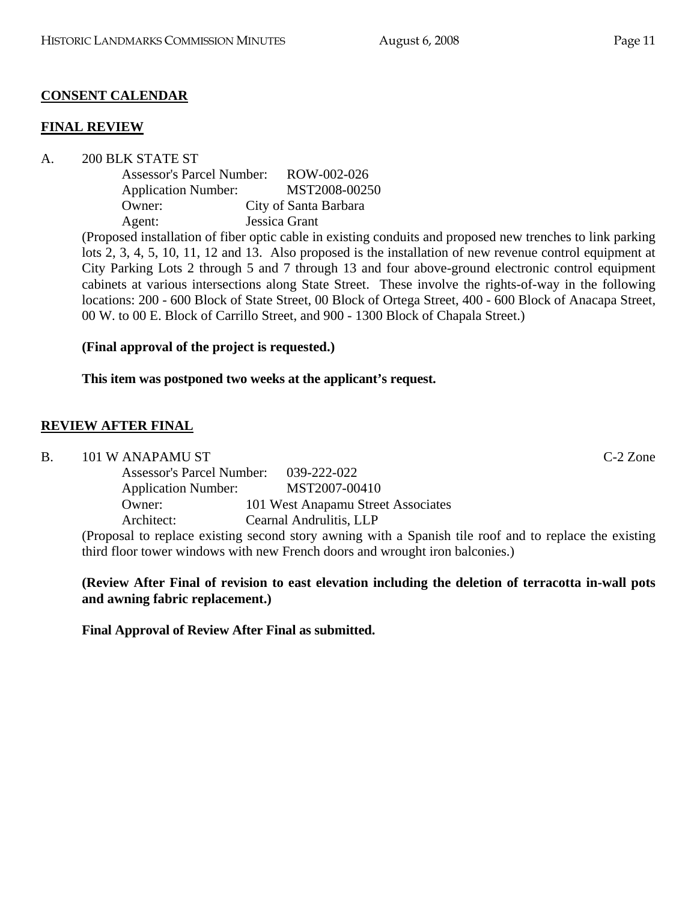# **CONSENT CALENDAR**

#### **FINAL REVIEW**

A. 200 BLK STATE ST

| <b>Assessor's Parcel Number:</b> | ROW-002-026           |
|----------------------------------|-----------------------|
| <b>Application Number:</b>       | MST2008-00250         |
| Owner:                           | City of Santa Barbara |
| Agent:                           | Jessica Grant         |

(Proposed installation of fiber optic cable in existing conduits and proposed new trenches to link parking lots 2, 3, 4, 5, 10, 11, 12 and 13. Also proposed is the installation of new revenue control equipment at City Parking Lots 2 through 5 and 7 through 13 and four above-ground electronic control equipment cabinets at various intersections along State Street. These involve the rights-of-way in the following locations: 200 - 600 Block of State Street, 00 Block of Ortega Street, 400 - 600 Block of Anacapa Street, 00 W. to 00 E. Block of Carrillo Street, and 900 - 1300 Block of Chapala Street.)

# **(Final approval of the project is requested.)**

**This item was postponed two weeks at the applicant's request.** 

# **REVIEW AFTER FINAL**

B. 101 W ANAPAMU ST

| <b>Assessor's Parcel Number:</b> | 039-222-022                        |
|----------------------------------|------------------------------------|
| <b>Application Number:</b>       | MST2007-00410                      |
| Owner:                           | 101 West Anapamu Street Associates |
| Architect:                       | Cearnal Andrulitis, LLP            |
|                                  |                                    |

(Proposal to replace existing second story awning with a Spanish tile roof and to replace the existing third floor tower windows with new French doors and wrought iron balconies.)

## **(Review After Final of revision to east elevation including the deletion of terracotta in-wall pots and awning fabric replacement.)**

**Final Approval of Review After Final as submitted.**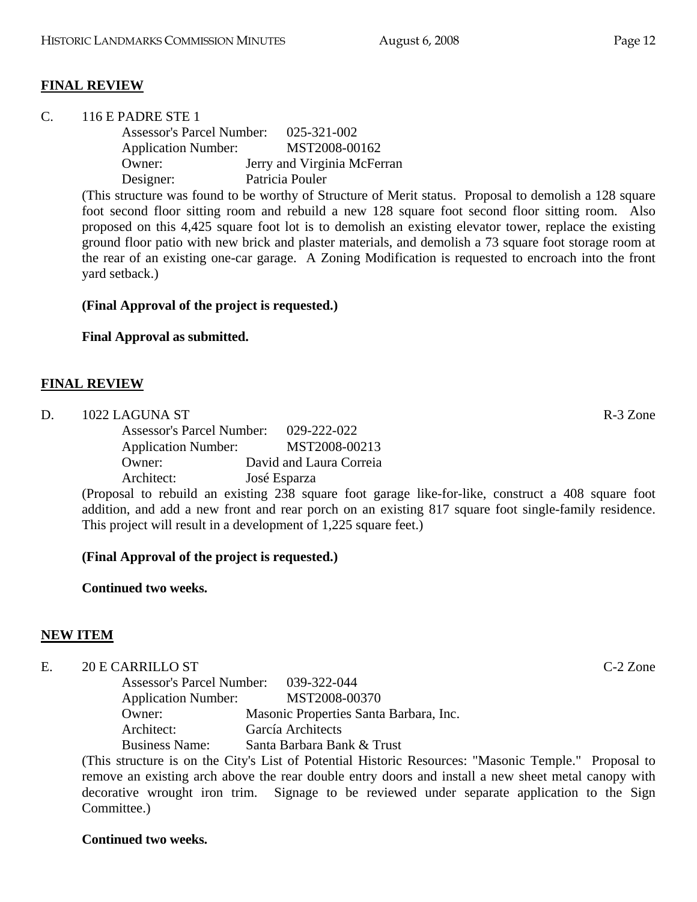# **FINAL REVIEW**

| C. |               | 116 E PADRE STE 1                |  |                 |                                                                                                                                                                                                                                                                                                                                    |  |
|----|---------------|----------------------------------|--|-----------------|------------------------------------------------------------------------------------------------------------------------------------------------------------------------------------------------------------------------------------------------------------------------------------------------------------------------------------|--|
|    |               | <b>Assessor's Parcel Number:</b> |  |                 | 025-321-002                                                                                                                                                                                                                                                                                                                        |  |
|    |               | <b>Application Number:</b>       |  |                 | MST2008-00162                                                                                                                                                                                                                                                                                                                      |  |
|    |               | Owner:                           |  |                 | Jerry and Virginia McFerran                                                                                                                                                                                                                                                                                                        |  |
|    |               | Designer:                        |  | Patricia Pouler |                                                                                                                                                                                                                                                                                                                                    |  |
|    | $\sqrt{1111}$ |                                  |  |                 | $\mathbf{1}$ $\mathbf{1}$ $\mathbf{1}$ $\mathbf{1}$ $\mathbf{1}$ $\mathbf{1}$ $\mathbf{1}$ $\mathbf{1}$ $\mathbf{1}$ $\mathbf{1}$ $\mathbf{1}$ $\mathbf{1}$ $\mathbf{1}$ $\mathbf{1}$ $\mathbf{1}$ $\mathbf{1}$ $\mathbf{1}$ $\mathbf{1}$ $\mathbf{1}$ $\mathbf{1}$ $\mathbf{1}$ $\mathbf{1}$ $\mathbf{1}$ $\mathbf{1}$ $\mathbf{$ |  |

(This structure was found to be worthy of Structure of Merit status. Proposal to demolish a 128 square foot second floor sitting room and rebuild a new 128 square foot second floor sitting room. Also proposed on this 4,425 square foot lot is to demolish an existing elevator tower, replace the existing ground floor patio with new brick and plaster materials, and demolish a 73 square foot storage room at the rear of an existing one-car garage. A Zoning Modification is requested to encroach into the front yard setback.)

# **(Final Approval of the project is requested.)**

**Final Approval as submitted.** 

## **FINAL REVIEW**

| D. | 1022 LAGUNA ST             |                         | R-3 Zone |
|----|----------------------------|-------------------------|----------|
|    | Assessor's Parcel Number:  | 029-222-022             |          |
|    | <b>Application Number:</b> | MST2008-00213           |          |
|    | Owner:                     | David and Laura Correia |          |
|    | Architect:                 | José Esparza            |          |

(Proposal to rebuild an existing 238 square foot garage like-for-like, construct a 408 square foot addition, and add a new front and rear porch on an existing 817 square foot single-family residence. This project will result in a development of 1,225 square feet.)

# **(Final Approval of the project is requested.)**

**Continued two weeks.** 

# **NEW ITEM**

# E. 20 E CARRILLO ST C-2 Zone

 Assessor's Parcel Number: 039-322-044 Application Number: MST2008-00370 Owner: Masonic Properties Santa Barbara, Inc. Architect: García Architects Business Name: Santa Barbara Bank & Trust

(This structure is on the City's List of Potential Historic Resources: "Masonic Temple." Proposal to remove an existing arch above the rear double entry doors and install a new sheet metal canopy with decorative wrought iron trim. Signage to be reviewed under separate application to the Sign Committee.)

# **Continued two weeks.**